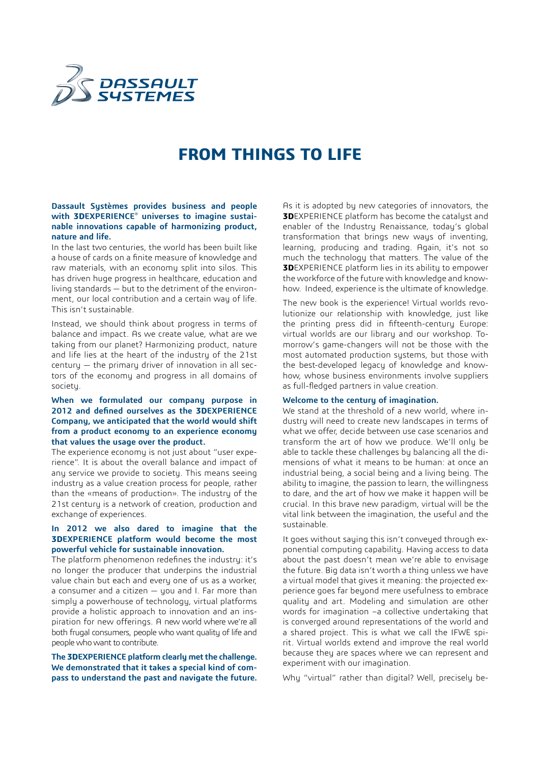

# **FROM THINGS TO LIFE**

#### **Dassault Systèmes provides business and people with 3DEXPERIENCE**® **universes to imagine sustainable innovations capable of harmonizing product, nature and life.**

In the last two centuries, the world has been built like a house of cards on a finite measure of knowledge and raw materials, with an economy split into silos. This has driven huge progress in healthcare, education and living standards — but to the detriment of the environment, our local contribution and a certain way of life. This isn't sustainable.

Instead, we should think about progress in terms of balance and impact. As we create value, what are we taking from our planet? Harmonizing product, nature and life lies at the heart of the industry of the 21st century — the primary driver of innovation in all sectors of the economy and progress in all domains of society.

#### **When we formulated our company purpose in 2012 and defined ourselves as the 3DEXPERIENCE Company, we anticipated that the world would shift from a product economy to an experience economy that values the usage over the product.**

The experience economy is not just about "user experience". It is about the overall balance and impact of any service we provide to society. This means seeing industry as a value creation process for people, rather than the «means of production». The industry of the 21st century is a network of creation, production and exchange of experiences.

#### **In 2012 we also dared to imagine that the 3DEXPERIENCE platform would become the most powerful vehicle for sustainable innovation.**

The platform phenomenon redefines the industry: it's no longer the producer that underpins the industrial value chain but each and every one of us as a worker, a consumer and a citizen — you and I. Far more than simply a powerhouse of technology, virtual platforms provide a holistic approach to innovation and an inspiration for new offerings. A new world where we're all both frugal consumers, people who want quality of life and people who want to contribute.

**The 3DEXPERIENCE platform clearly met the challenge. We demonstrated that it takes a special kind of compass to understand the past and navigate the future.**  As it is adopted by new categories of innovators, the **3D**EXPERIENCE platform has become the catalyst and enabler of the Industry Renaissance, today's global transformation that brings new ways of inventing, learning, producing and trading. Again, it's not so much the technology that matters. The value of the **3D**EXPERIENCE platform lies in its ability to empower the workforce of the future with knowledge and knowhow. Indeed, experience is the ultimate of knowledge.

The new book is the experience! Virtual worlds revolutionize our relationship with knowledge, just like the printing press did in fifteenth-century Europe: virtual worlds are our library and our workshop. Tomorrow's game-changers will not be those with the most automated production systems, but those with the best-developed legacy of knowledge and knowhow, whose business environments involve suppliers as full-fledged partners in value creation.

#### **Welcome to the century of imagination.**

We stand at the threshold of a new world, where industry will need to create new landscapes in terms of what we offer, decide between use case scenarios and transform the art of how we produce. We'll only be able to tackle these challenges by balancing all the dimensions of what it means to be human: at once an industrial being, a social being and a living being. The ability to imagine, the passion to learn, the willingness to dare, and the art of how we make it happen will be crucial. In this brave new paradigm, virtual will be the vital link between the imagination, the useful and the sustainable.

It goes without saying this isn't conveyed through exponential computing capability. Having access to data about the past doesn't mean we're able to envisage the future. Big data isn't worth a thing unless we have a virtual model that gives it meaning: the projected experience goes far beyond mere usefulness to embrace quality and art. Modeling and simulation are other words for imagination –a collective undertaking that is converged around representations of the world and a shared project. This is what we call the IFWE spirit. Virtual worlds extend and improve the real world because they are spaces where we can represent and experiment with our imagination.

Why "virtual" rather than digital? Well, precisely be-